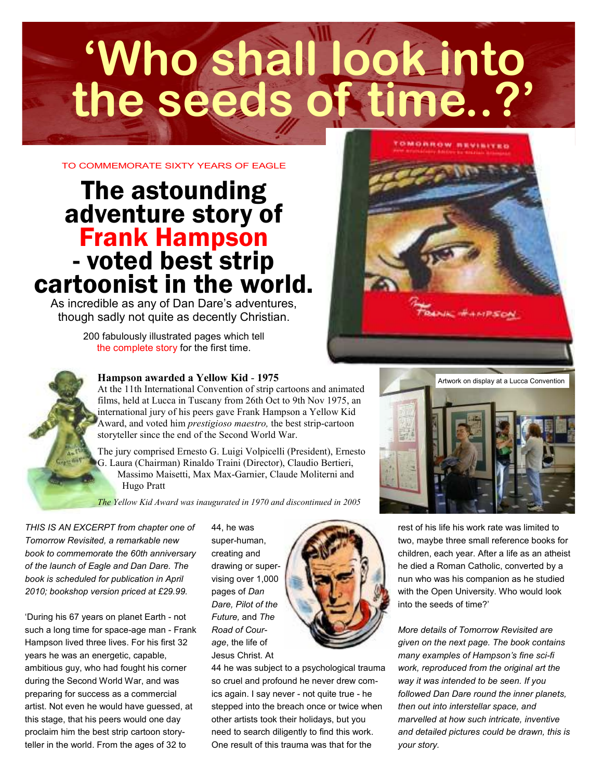# **'Who shall look into the seeds of time..?'**

TO COMMEMORATE SIXTY YEARS OF FAGLE

## The astounding adventure story of Frank Hampson - voted best strip cartoonist in the world.

As incredible as any of Dan Dare's adventures, though sadly not quite as decently Christian.

> 200 fabulously illustrated pages which tell the complete story for the first time.



At the 11th International Convention of strip cartoons and animated films, held at Lucca in Tuscany from 26th Oct to 9th Nov 1975, an international jury of his peers gave Frank Hampson a Yellow Kid Award, and voted him prestigioso maestro, the best strip-cartoon storyteller since the end of the Second World War.

The jury comprised Ernesto G. Luigi Volpicelli (President), Ernesto G. Laura (Chairman) Rinaldo Traini (Director), Claudio Bertieri, Massimo Maisetti, Max Max-Garnier, Claude Moliterni and Hugo Pratt

The Yellow Kid Award was inaugurated in 1970 and discontinued in 2005

THIS IS AN EXCERPT from chapter one of Tomorrow Revisited, a remarkable new book to commemorate the 60th anniversary of the launch of Eagle and Dan Dare. The book is scheduled for publication in April 2010; bookshop version priced at £29.99.

'During his 67 years on planet Earth - not such a long time for space-age man - Frank Hampson lived three lives. For his first 32 years he was an energetic, capable, ambitious guy, who had fought his corner during the Second World War, and was preparing for success as a commercial artist. Not even he would have guessed, at this stage, that his peers would one day proclaim him the best strip cartoon storyteller in the world. From the ages of 32 to

44, he was super-human, creating and drawing or supervising over 1,000 pages of Dan Dare, Pilot of the Future, and The Road of Courage, the life of Jesus Christ. At



44 he was subject to a psychological trauma so cruel and profound he never drew comics again. I say never - not quite true - he stepped into the breach once or twice when other artists took their holidays, but you need to search diligently to find this work. One result of this trauma was that for the



**CHARACTER W** NEWSFILM

rest of his life his work rate was limited to two, maybe three small reference books for children, each year. After a life as an atheist he died a Roman Catholic, converted by a nun who was his companion as he studied with the Open University. Who would look into the seeds of time?'

More details of Tomorrow Revisited are given on the next page. The book contains many examples of Hampson's fine sci-fi work, reproduced from the original art the way it was intended to be seen. If you followed Dan Dare round the inner planets, then out into interstellar space, and marvelled at how such intricate, inventive and detailed pictures could be drawn, this is your story.